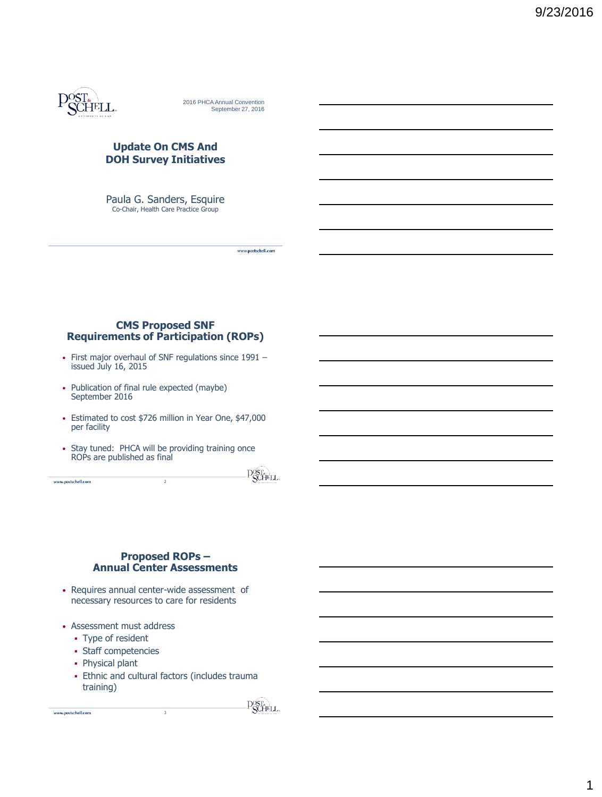

2016 PHCA Annual Convention September 27, 2016

## **Update On CMS And DOH Survey Initiatives**

Paula G. Sanders, Esquire<br>Co-Chair, Health Care Practice Group

## **CMS Proposed SNF Requirements of Participation (ROPs)**

- First major overhaul of SNF regulations since 1991 issued July 16, 2015
- Publication of final rule expected (maybe) September 2016
- Estimated to cost \$726 million in Year One, \$47,000 per facility
- Stay tuned: PHCA will be providing training once ROPs are published as final

2

www.postschell.com

**POST.** 

www.postschell.com

# **Proposed ROPs – Annual Center Assessments**

- Requires annual center-wide assessment of necessary resources to care for residents
- Assessment must address
	- Type of resident
	- Staff competencies
	- Physical plant

www.postschell.com

 Ethnic and cultural factors (includes trauma training)

**POSTA**<br>SCHELL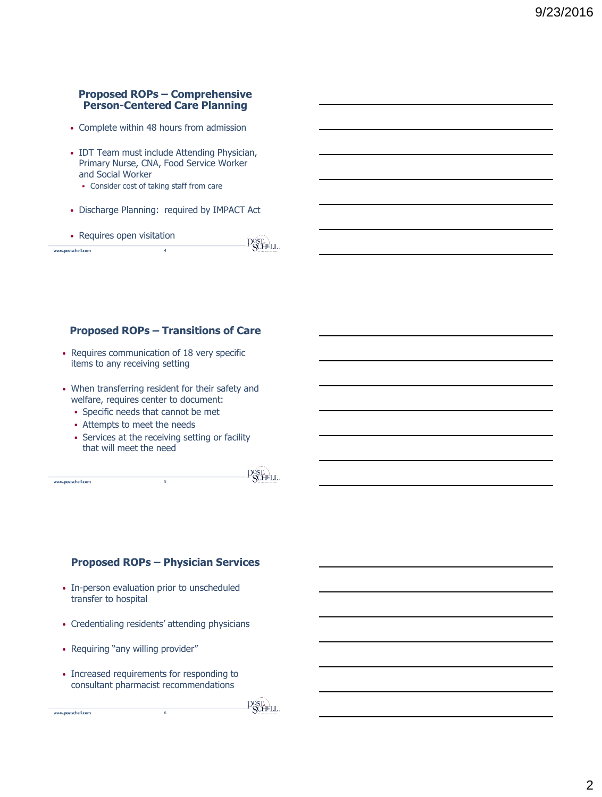# **Proposed ROPs – Comprehensive Person-Centered Care Planning**

- Complete within 48 hours from admission
- IDT Team must include Attending Physician, Primary Nurse, CNA, Food Service Worker and Social Worker
	- Consider cost of taking staff from care
- Discharge Planning: required by IMPACT Act
- Requires open visitation

|                    | <sup>-</sup> CCHELL |
|--------------------|---------------------|
| www.postschell.com | ACTES SERVICES      |
|                    |                     |

# **Proposed ROPs – Transitions of Care**

- Requires communication of 18 very specific items to any receiving setting
- When transferring resident for their safety and welfare, requires center to document:
	- Specific needs that cannot be met
	- Attempts to meet the needs
	- Services at the receiving setting or facility that will meet the need

5**5**

www.postschell.com

www.postschell.com

 $\overline{\mathrm{P}}_{\mathrm{SCHEL}}^{\mathrm{OST.}}$ 

 $D^{OST_{2}}$ 

## **Proposed ROPs – Physician Services**

- In-person evaluation prior to unscheduled transfer to hospital
- Credentialing residents' attending physicians
- Requiring "any willing provider"
- Increased requirements for responding to consultant pharmacist recommendations

6**6**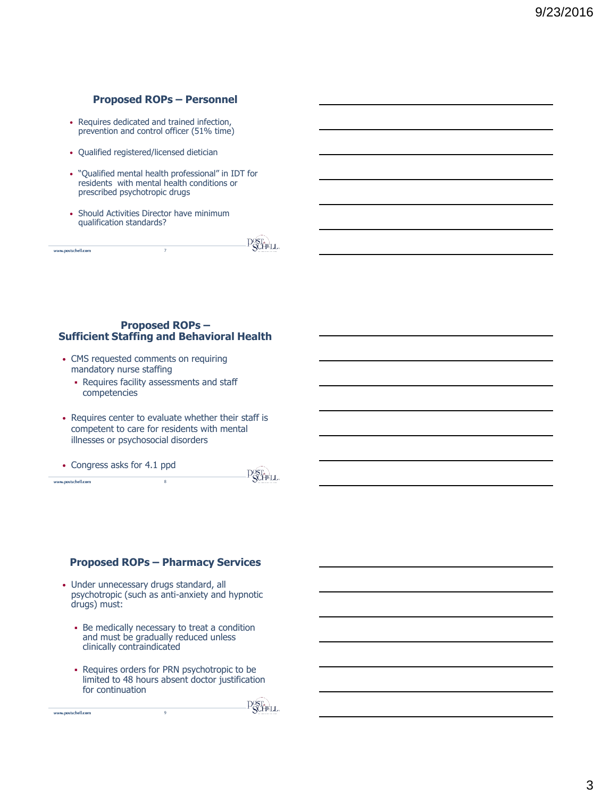# **Proposed ROPs – Personnel**

- Requires dedicated and trained infection, prevention and control officer (51% time)
- Qualified registered/licensed dietician
- "Qualified mental health professional" in IDT for residents with mental health conditions or prescribed psychotropic drugs
- Should Activities Director have minimum qualification standards?

|                    | <b>TAGGER</b><br>×,         |
|--------------------|-----------------------------|
| www.postschell.com | مايلا<br>$\frac{1}{2}$<br>s |
|                    |                             |

#### **Proposed ROPs – Sufficient Staffing and Behavioral Health**

- CMS requested comments on requiring mandatory nurse staffing
	- Requires facility assessments and staff competencies
- Requires center to evaluate whether their staff is competent to care for residents with mental illnesses or psychosocial disorders

8**8**

• Congress asks for 4.1 ppd

www.postschell.com

www.postschell.com

 $\overline{\mathrm{P}}_{\mathrm{SCHEL}}^{\mathrm{OST.}}$ 

# **Proposed ROPs – Pharmacy Services**

- Under unnecessary drugs standard, all psychotropic (such as anti-anxiety and hypnotic drugs) must:
	- Be medically necessary to treat a condition and must be gradually reduced unless clinically contraindicated
	- Requires orders for PRN psychotropic to be limited to 48 hours absent doctor justification for continuation

9**9**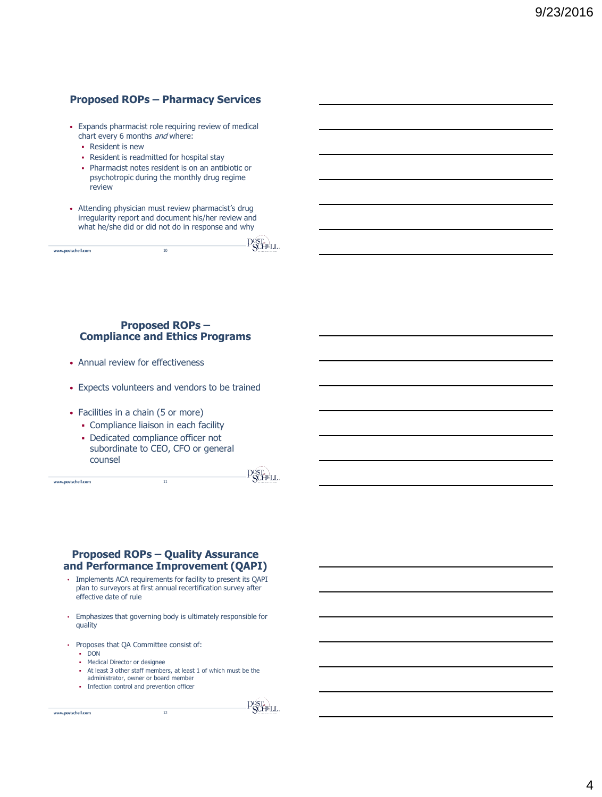# **Proposed ROPs – Pharmacy Services**

- Expands pharmacist role requiring review of medical chart every 6 months and where:
	- Resident is new
	- Resident is readmitted for hospital stay
	- Pharmacist notes resident is on an antibiotic or psychotropic during the monthly drug regime review
- Attending physician must review pharmacist's drug irregularity report and document his/her review and what he/she did or did not do in response and why

|                    |    | and a company of the state of the |
|--------------------|----|-----------------------------------|
| www.postschell.com | 10 | ◡<br><b>AUTOMOTIVE AT LINE</b>    |
|                    |    |                                   |
|                    |    |                                   |

## **Proposed ROPs – Compliance and Ethics Programs**

- Annual review for effectiveness
- Expects volunteers and vendors to be trained
- Facilities in a chain (5 or more)
	- Compliance liaison in each facility
	- Dedicated compliance officer not subordinate to CEO, CFO or general counsel

<sup>11</sup>**11**

www.postschell.com

 $\overline{\mathrm{P}}_{\mathrm{SCHEL}}^{\mathrm{OST.}}$ 

#### **Proposed ROPs – Quality Assurance and Performance Improvement (QAPI)**

- Implements ACA requirements for facility to present its QAPI plan to surveyors at first annual recertification survey after effective date of rule
- Emphasizes that governing body is ultimately responsible for quality
- Proposes that QA Committee consist of:
	- DON
	- Medical Director or designee
	- At least 3 other staff members, at least 1 of which must be the administrator, owner or board member

12**12**

• Infection control and prevention officer

www.postschell.com

**P**SCHELL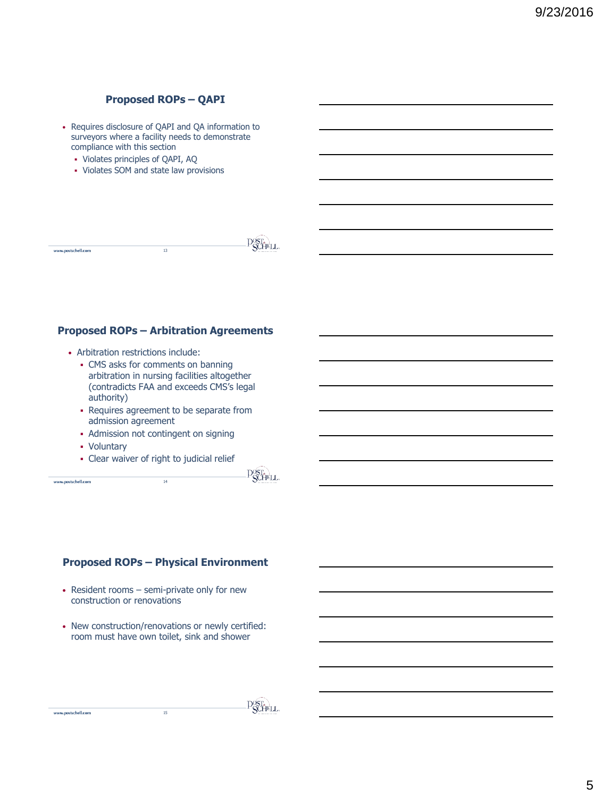# **Proposed ROPs – QAPI**

- Requires disclosure of QAPI and QA information to surveyors where a facility needs to demonstrate compliance with this section
	- Violates principles of QAPI, AQ
	- Violates SOM and state law provisions

|                    |    | ----                           |
|--------------------|----|--------------------------------|
| www.postschell.com | 13 | <b>AUTOMOTIVE AT LINE</b><br>Ÿ |
|                    |    |                                |

# **Proposed ROPs – Arbitration Agreements**

- Arbitration restrictions include:
	- CMS asks for comments on banning arbitration in nursing facilities altogether (contradicts FAA and exceeds CMS's legal authority)
	- Requires agreement to be separate from admission agreement

<sup>14</sup>**14**

- Admission not contingent on signing
- Voluntary
- Clear waiver of right to judicial relief

www.postschell.com

www.postschell.com

 $\overline{\mathrm{P}}_{\mathrm{SCHEL}}^{\mathrm{OST.}}$ 

#### **Proposed ROPs – Physical Environment**

- Resident rooms semi-private only for new construction or renovations
- New construction/renovations or newly certified: room must have own toilet, sink and shower

**POSTA**<br>SCHELL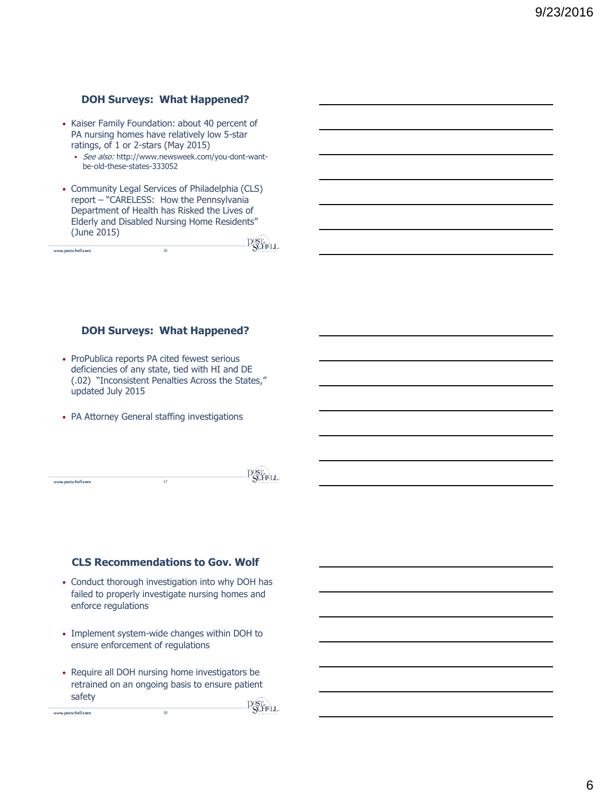# **DOH Surveys: What Happened?**

- Kaiser Family Foundation: about 40 percent of PA nursing homes have relatively low 5-star ratings, of 1 or 2-stars (May 2015)
	- See also: http://www.newsweek.com/you-dont-wantbe-old-these-states-333052
- Community Legal Services of Philadelphia (CLS) report – "CARELESS: How the Pennsylvania Department of Health has Risked the Lives of Elderly and Disabled Nursing Home Residents" (June 2015) **POST.**

16

www.postschell.com

## **DOH Surveys: What Happened?**

- ProPublica reports PA cited fewest serious deficiencies of any state, tied with HI and DE (.02) "Inconsistent Penalties Across the States," updated July 2015
- PA Attorney General staffing investigations

|                    | $\sim$<br>.<br>×,                     |
|--------------------|---------------------------------------|
| www.postschell.com | <br>-<br>$\mathbf{U}_{\text{source}}$ |

# **CLS Recommendations to Gov. Wolf**

- Conduct thorough investigation into why DOH has failed to properly investigate nursing homes and enforce regulations
- Implement system-wide changes within DOH to ensure enforcement of regulations
- Require all DOH nursing home investigators be retrained on an ongoing basis to ensure patient safety **POST.**<br>**POCHELL**

18

www.postschell.com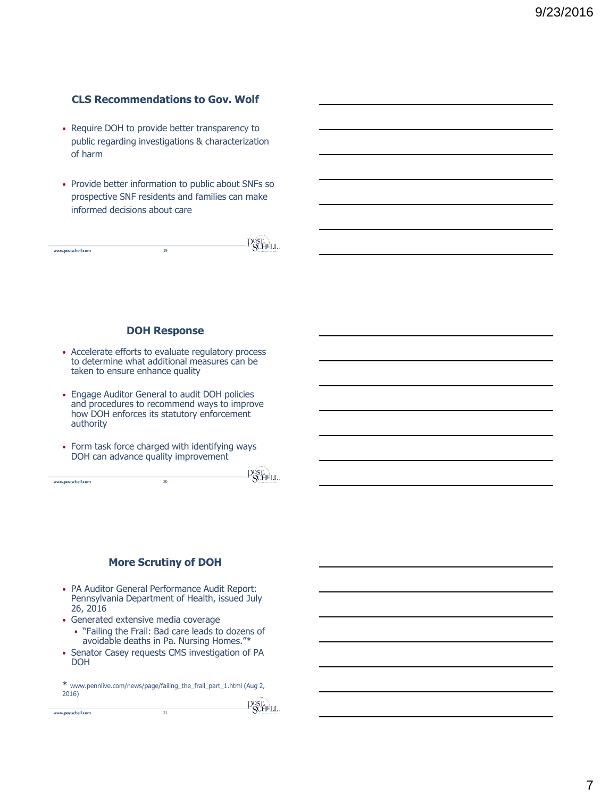# **CLS Recommendations to Gov. Wolf**

- Require DOH to provide better transparency to public regarding investigations & characterization of harm
- Provide better information to public about SNFs so prospective SNF residents and families can make informed decisions about care

|                    |          | $- - -$                     |
|--------------------|----------|-----------------------------|
| www.postschell.com | 10<br>42 | The research art start<br>Ÿ |
|                    |          |                             |

## **DOH Response**

- Accelerate efforts to evaluate regulatory process to determine what additional measures can be taken to ensure enhance quality
- Engage Auditor General to audit DOH policies and procedures to recommend ways to improve how DOH enforces its statutory enforcement authority
- Form task force charged with identifying ways DOH can advance quality improvement

20

**P**ST<sub>A</sub>LL

#### **More Scrutiny of DOH**

- PA Auditor General Performance Audit Report: Pennsylvania Department of Health, issued July 26, 2016
- Generated extensive media coverage
	- "Failing the Frail: Bad care leads to dozens of avoidable deaths in Pa. Nursing Homes."\*
- Senator Casey requests CMS investigation of PA DOH

\* www.pennlive.com/news/page/failing\_the\_frail\_part\_1.html (Aug 2, 2016) 21

www.postschell.com

www.postschell.com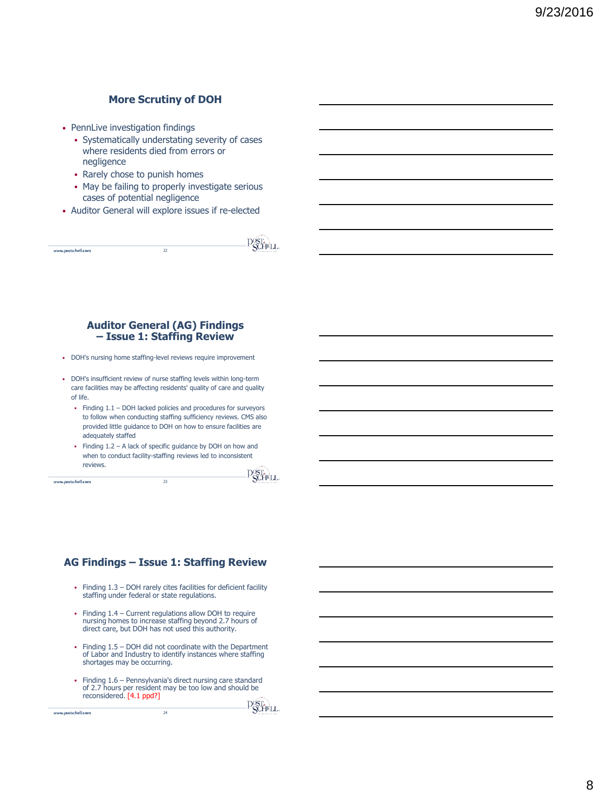# **More Scrutiny of DOH**

- PennLive investigation findings
	- Systematically understating severity of cases where residents died from errors or negligence
	- Rarely chose to punish homes
	- May be failing to properly investigate serious cases of potential negligence
- Auditor General will explore issues if re-elected

|                    |   | .<br>$\sim 10$                          |
|--------------------|---|-----------------------------------------|
| www.postschell.com | " | $\lambda$<br><b>ACCOMMENDATION</b><br>÷ |
|                    |   |                                         |

#### **Auditor General (AG) Findings – Issue 1: Staffing Review**

- DOH's nursing home staffing-level reviews require improvement
- DOH's insufficient review of nurse staffing levels within long-term care facilities may be affecting residents' quality of care and quality of life.
	- Finding 1.1 DOH lacked policies and procedures for surveyors to follow when conducting staffing sufficiency reviews. CMS also provided little guidance to DOH on how to ensure facilities are adequately staffed
	- Finding 1.2 A lack of specific guidance by DOH on how and when to conduct facility-staffing reviews led to inconsistent reviews.

23

www.postschell.com

www.postschell.com

POST.

#### **AG Findings – Issue 1: Staffing Review**

- Finding  $1.3 -$  DOH rarely cites facilities for deficient facility staffing under federal or state regulations.
- Finding  $1.4$  Current regulations allow DOH to require nursing homes to increase staffing beyond 2.7 hours of direct care, but DOH has not used this authority.
- Finding 1.5 DOH did not coordinate with the Department of Labor and Industry to identify instances where staffing shortages may be occurring.
- Finding 1.6 Pennsylvania's direct nursing care standard of 2.7 hours per resident may be too low and should be reconsidered. [4.1 ppd?]

24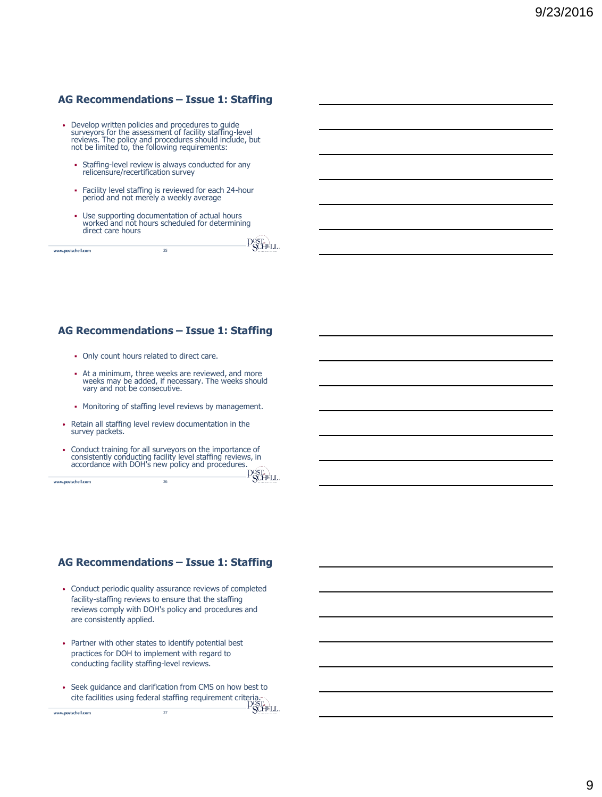# **AG Recommendations – Issue 1: Staffing**

- Develop written policies and procedures to guide surveyors for the assessment of facility staffing-level reviews. The policy and procedures should include, but not be limited to, the following requirements:
	- Staffing-level review is always conducted for any relicensure/recertification survey
	- Facility level staffing is reviewed for each 24-hour period and not merely a weekly average
	- Use supporting documentation of actual hours worked and not hours scheduled for determining direct care hours  $n<sub>0</sub>$

| www.postschell.com | $\sim$ | $1.124$ and $1.124$<br><b>ACTIONATICAL ART</b><br>╰ |
|--------------------|--------|-----------------------------------------------------|
|                    |        |                                                     |

# **AG Recommendations – Issue 1: Staffing**

- Only count hours related to direct care.
- At a minimum, three weeks are reviewed, and more weeks may be added, if necessary. The weeks should vary and not be consecutive.
- Monitoring of staffing level reviews by management.
- Retain all staffing level review documentation in the survey packets.
- Conduct training for all surveyors on the importance of consistently conducting facility level staffing reviews, in accordance with DOH's new policy and procedures.<br>Accordance with DOH's new policy and procedures.<br>PSCHPLL

26

www.postschell.com

www.postschell.com

# **AG Recommendations – Issue 1: Staffing**

- Conduct periodic quality assurance reviews of completed facility-staffing reviews to ensure that the staffing reviews comply with DOH's policy and procedures and are consistently applied.
- Partner with other states to identify potential best practices for DOH to implement with regard to conducting facility staffing-level reviews.
- Seek guidance and clarification from CMS on how best to cite facilities using federal staffing requirement criteria. 27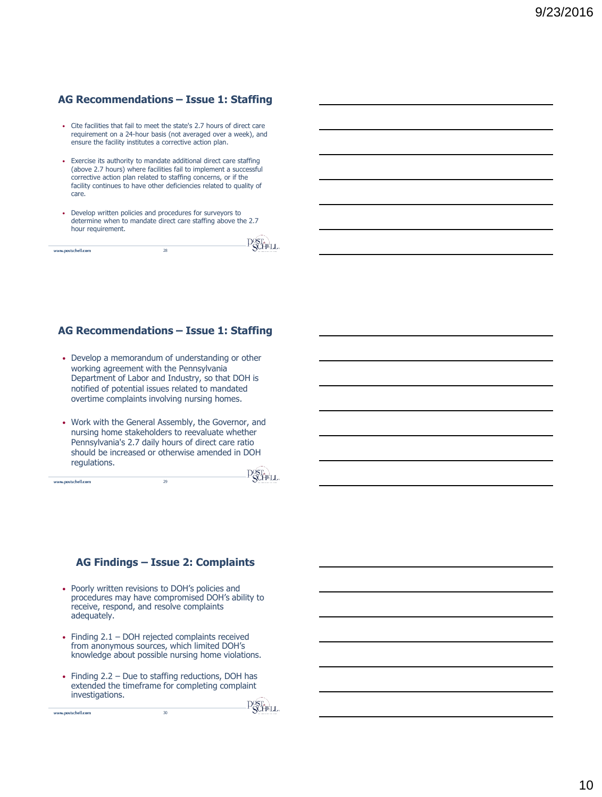# **AG Recommendations – Issue 1: Staffing**

- Cite facilities that fail to meet the state's 2.7 hours of direct care requirement on a 24-hour basis (not averaged over a week), and ensure the facility institutes a corrective action plan.
- Exercise its authority to mandate additional direct care staffing (above 2.7 hours) where facilities fail to implement a successful corrective action plan related to staffing concerns, or if the facility continues to have other deficiencies related to quality of care.
- Develop written policies and procedures for surveyors to determine when to mandate direct care staffing above the 2.7 hour requirement.

| www.postschell.com | 28<br>-- | $\check{ }$<br>ACTERISTS AT LINE |
|--------------------|----------|----------------------------------|
|                    |          |                                  |

# **AG Recommendations – Issue 1: Staffing**

- Develop a memorandum of understanding or other working agreement with the Pennsylvania Department of Labor and Industry, so that DOH is notified of potential issues related to mandated overtime complaints involving nursing homes.
- Work with the General Assembly, the Governor, and nursing home stakeholders to reevaluate whether Pennsylvania's 2.7 daily hours of direct care ratio should be increased or otherwise amended in DOH regulations.

29

www.postschell.com

www.postschell.com

POST.

 $-\sqrt{2}$ 

#### **AG Findings – Issue 2: Complaints**

- Poorly written revisions to DOH's policies and procedures may have compromised DOH's ability to receive, respond, and resolve complaints adequately.
- Finding 2.1 DOH rejected complaints received from anonymous sources, which limited DOH's knowledge about possible nursing home violations.
- Finding 2.2 Due to staffing reductions, DOH has extended the timeframe for completing complaint investigations.

30

Post.<br>Pochell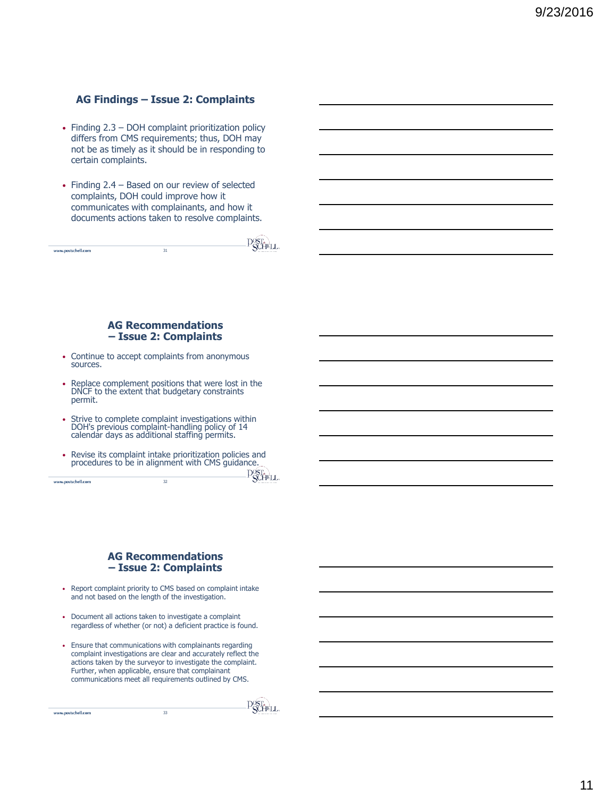# **AG Findings – Issue 2: Complaints**

- Finding 2.3 DOH complaint prioritization policy differs from CMS requirements; thus, DOH may not be as timely as it should be in responding to certain complaints.
- Finding 2.4 Based on our review of selected complaints, DOH could improve how it communicates with complainants, and how it documents actions taken to resolve complaints.

|                    |         | arro<br>з,                  |
|--------------------|---------|-----------------------------|
| www.postschell.com | 71<br>٠ | .<br>s<br><b>COMMERCIAL</b> |
|                    |         |                             |

#### **AG Recommendations – Issue 2: Complaints**

- Continue to accept complaints from anonymous sources.
- Replace complement positions that were lost in the DNCF to the extent that budgetary constraints permit.
- Strive to complete complaint investigations within DOH's previous complaint-handling policy of 14 calendar days as additional staffing permits.
- Revise its complaint intake prioritization policies and procedures to be in alignment with CMS guidance. 32

PSCHELL

#### **AG Recommendations – Issue 2: Complaints**

- Report complaint priority to CMS based on complaint intake and not based on the length of the investigation.
- Document all actions taken to investigate a complaint regardless of whether (or not) a deficient practice is found.
- Ensure that communications with complainants regarding complaint investigations are clear and accurately reflect the actions taken by the surveyor to investigate the complaint. Further, when applicable, ensure that complainant communications meet all requirements outlined by CMS.

33

www.postschell.com

www.postschell.com

Post.<br>PSCHELL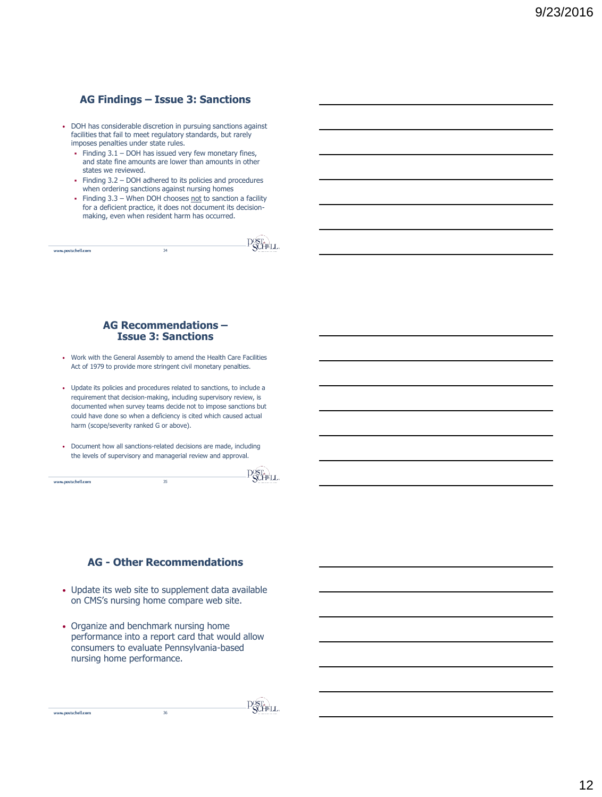# **AG Findings – Issue 3: Sanctions**

- DOH has considerable discretion in pursuing sanctions against facilities that fail to meet regulatory standards, but rarely imposes penalties under state rules.
	- Finding  $3.1 -$  DOH has issued very few monetary fines, and state fine amounts are lower than amounts in other states we reviewed.
	- Finding 3.2 DOH adhered to its policies and procedures when ordering sanctions against nursing homes
	- Finding  $3.3$  When DOH chooses not to sanction a facility for a deficient practice, it does not document its decisionmaking, even when resident harm has occurred.

|         | ----                   |
|---------|------------------------|
| 34<br>- | Antiques and Con-<br>÷ |
|         |                        |

#### **AG Recommendations – Issue 3: Sanctions**

- Work with the General Assembly to amend the Health Care Facilities Act of 1979 to provide more stringent civil monetary penalties.
- Update its policies and procedures related to sanctions, to include a requirement that decision-making, including supervisory review, is documented when survey teams decide not to impose sanctions but could have done so when a deficiency is cited which caused actual harm (scope/severity ranked G or above).
- Document how all sanctions-related decisions are made, including the levels of supervisory and managerial review and approval.

35

www.postschell.com

www.postschell.com

POST.

# **AG - Other Recommendations**

- Update its web site to supplement data available on CMS's nursing home compare web site.
- Organize and benchmark nursing home performance into a report card that would allow consumers to evaluate Pennsylvania-based nursing home performance.

**POST.**<br>**POCHELL**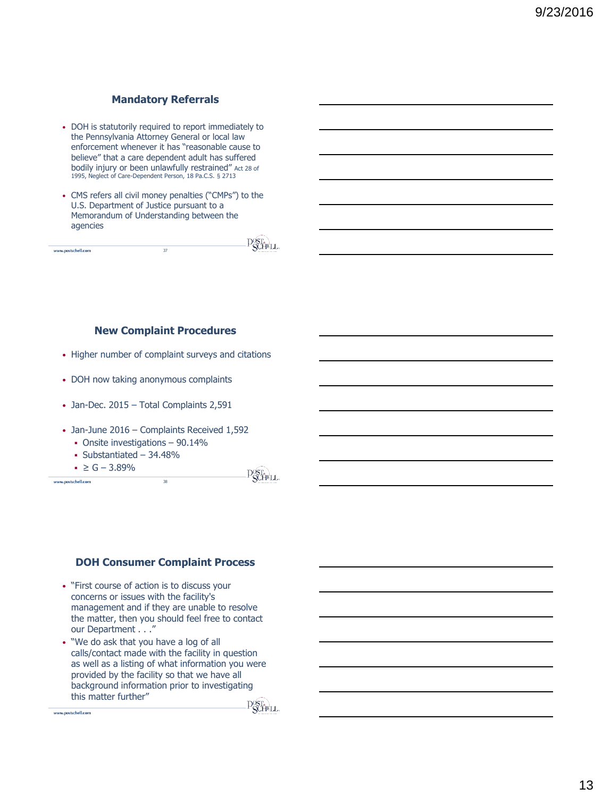# **Mandatory Referrals**

- DOH is statutorily required to report immediately to the Pennsylvania Attorney General or local law enforcement whenever it has "reasonable cause to believe" that a care dependent adult has suffered bodily injury or been unlawfully restrained" Act 28 of 1995, Neglect of Care-Dependent Person, 18 Pa.C.S. § 2713
- CMS refers all civil money penalties ("CMPs") to the U.S. Department of Justice pursuant to a Memorandum of Understanding between the agencies

|                    |    | <b>PLA</b>        |
|--------------------|----|-------------------|
| www.postschell.com | -- | ACTERISTS AT LINE |
|                    |    |                   |

# **New Complaint Procedures**

- Higher number of complaint surveys and citations
- DOH now taking anonymous complaints
- Jan-Dec. 2015 Total Complaints 2,591
- Jan-June 2016 Complaints Received 1,592
	- Onsite investigations 90.14%
	- $\blacksquare$  Substantiated 34.48%

 $\le G - 3.89\%$ 

www.postschell.com

**P**SCHELL

 $-\sqrt{2}$ 

#### **DOH Consumer Complaint Process**

38

• "First course of action is to discuss your concerns or issues with the facility's management and if they are unable to resolve the matter, then you should feel free to contact our Department . . ."

• "We do ask that you have a log of all calls/contact made with the facility in question as well as a listing of what information you were provided by the facility so that we have all background information prior to investigating this matter further"

www.postschell.com

**P**SCHELL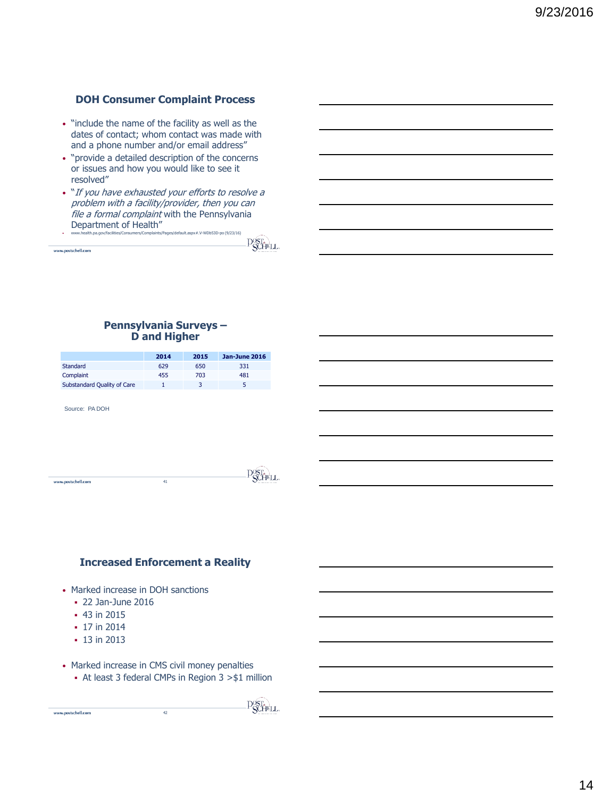# **DOH Consumer Complaint Process**

- "include the name of the facility as well as the dates of contact; whom contact was made with and a phone number and/or email address"
- "provide a detailed description of the concerns or issues and how you would like to see it resolved"
- "If you have exhausted your efforts to resolve a problem with a facility/provider, then you can file a formal complaint with the Pennsylvania Department of Health" • www.health.pa.gov/facilities/Consumers/Complaints/Pages/default.aspx#.V-WDb53D-po (9/23/16)

**POSTA** 

#### **Pennsylvania Surveys – D and Higher**

|                             | 2014 | 2015 | Jan-June 2016 |
|-----------------------------|------|------|---------------|
| Standard                    | 629  | 650  | 331           |
| Complaint                   | 455  | 703  | 481           |
| Substandard Quality of Care |      |      |               |

Source: PA DOH

www.postschell.com

| www.postschell.com | 41<br> | <b>ACTIVITY OF LINE</b> |
|--------------------|--------|-------------------------|

# **Increased Enforcement a Reality**

- Marked increase in DOH sanctions
	- 22 Jan-June 2016
	- **43 in 2015**
	- 17 in 2014
	- 13 in 2013

www.postschell.com

- Marked increase in CMS civil money penalties
	- At least 3 federal CMPs in Region 3 >\$1 million

42

**P**SCHELL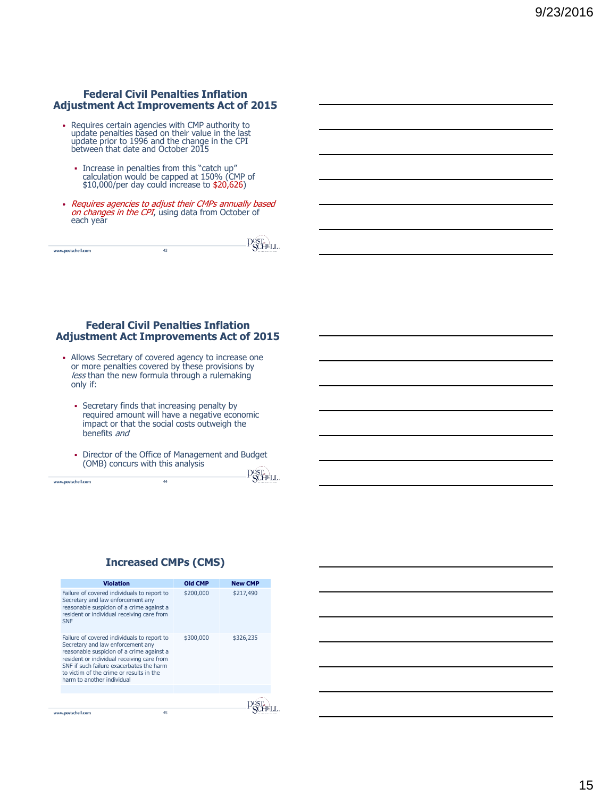# **Federal Civil Penalties Inflation Adjustment Act Improvements Act of 2015**

- Requires certain agencies with CMP authority to update penalties based on their value in the last update prior to 1996 and the change in the CPI between that date and October 2015
	- Increase in penalties from this "catch up"<br>calculation would be capped at 150% (CMP of<br>\$10,000/per day could increase to \$20,626)
- Requires agencies to adjust their CMPs annually based<br>on changes in the CPI, using data from October of each year

| 41 | <b>ATTEMPT</b> |
|----|----------------|
|    |                |

#### **Federal Civil Penalties Inflation Adjustment Act Improvements Act of 2015**

- Allows Secretary of covered agency to increase one or more penalties covered by these provisions by less than the new formula through a rulemaking only if:
	- Secretary finds that increasing penalty by required amount will have a negative economic impact or that the social costs outweigh the benefits and
	- Director of the Office of Management and Budget (OMB) concurs with this analysis m daoin

|                    |    | .<br>ິນໃຫ້ການເ        |
|--------------------|----|-----------------------|
| www.postschell.com | 44 | ◡<br>ACTORNEY AT LINE |
|                    |    |                       |

# **Increased CMPs (CMS)**

| <b>Violation</b>                                                                                                                                                                                                                                                                                  | Old CMP   | <b>New CMP</b> |
|---------------------------------------------------------------------------------------------------------------------------------------------------------------------------------------------------------------------------------------------------------------------------------------------------|-----------|----------------|
| Failure of covered individuals to report to<br>Secretary and law enforcement any<br>reasonable suspicion of a crime against a<br>resident or individual receiving care from<br><b>SNF</b>                                                                                                         | \$200,000 | \$217,490      |
| Failure of covered individuals to report to<br>Secretary and law enforcement any<br>reasonable suspicion of a crime against a<br>resident or individual receiving care from<br>SNE if such failure exacerbates the harm<br>to victim of the crime or results in the<br>harm to another individual | \$300,000 | \$326,235      |
|                                                                                                                                                                                                                                                                                                   |           |                |
|                                                                                                                                                                                                                                                                                                   |           |                |
| www.postschell.com                                                                                                                                                                                                                                                                                | 45        |                |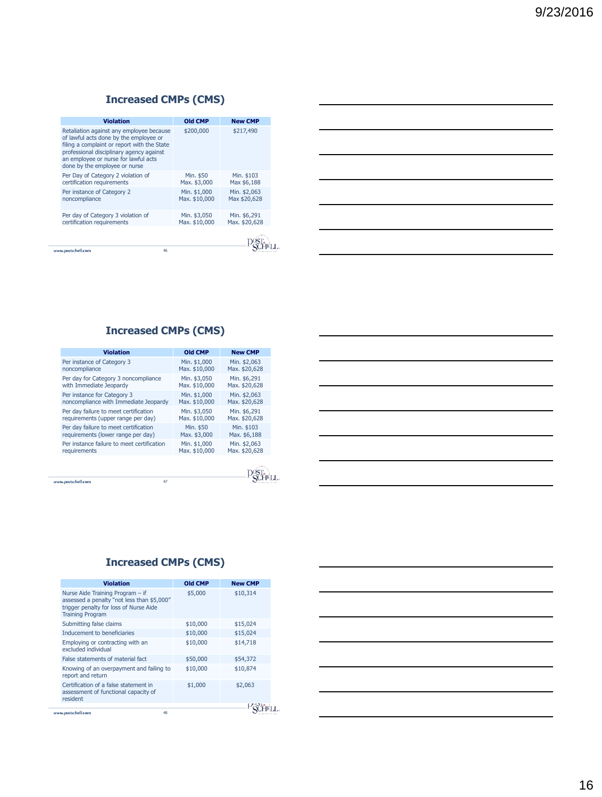# **Increased CMPs (CMS)**

| <b>Violation</b>                                                                                                                                                                                                                                       | Old CMP                       | <b>New CMP</b>                |
|--------------------------------------------------------------------------------------------------------------------------------------------------------------------------------------------------------------------------------------------------------|-------------------------------|-------------------------------|
| Retaliation against any employee because<br>of lawful acts done by the employee or<br>filing a complaint or report with the State<br>professional disciplinary agency against<br>an employee or nurse for lawful acts<br>done by the employee or nurse | \$200,000                     | \$217,490                     |
| Per Day of Category 2 violation of<br>certification requirements                                                                                                                                                                                       | Min. \$50<br>Max. \$3,000     | Min. \$103<br>Max \$6,188     |
| Per instance of Category 2<br>noncompliance                                                                                                                                                                                                            | Min. \$1,000<br>Max. \$10,000 | Min. \$2,063<br>Max \$20,628  |
| Per day of Category 3 violation of<br>certification requirements                                                                                                                                                                                       | Min. \$3,050<br>Max. \$10,000 | Min. \$6,291<br>Max. \$20,628 |
|                                                                                                                                                                                                                                                        |                               |                               |
| 46<br>www.postschell.com                                                                                                                                                                                                                               |                               |                               |

|  |  | <u> 1989 - Johann Barn, mars ann an t-Amhainn an t-Amhainn an t-Amhainn an t-Amhainn an t-Amhainn an t-Amhainn an </u> |
|--|--|------------------------------------------------------------------------------------------------------------------------|
|  |  | <u> 1989 - Johann Barn, mars ann an t-Amhain ann an t-Amhain ann an t-Amhain ann an t-Amhain an t-Amhain ann an t-</u> |
|  |  | <u> 1989 - Johann Barn, mars ann an t-Amhain ann an t-Amhain ann an t-Amhain ann an t-Amhain an t-Amhain ann an t-</u> |
|  |  | <u> 1989 - Johann Barn, mars ann an t-Amhainn an t-Amhainn an t-Amhainn an t-Amhainn an t-Amhainn an t-Amhainn an </u> |
|  |  | <u> 1989 - Andrea Santa Andrea Andrea Andrea Andrea Andrea Andrea Andrea Andrea Andrea Andrea Andrea Andrea Andr</u>   |
|  |  |                                                                                                                        |

# **Increased CMPs (CMS)**

| <b>Violation</b>                           | <b>Old CMP</b> | <b>New CMP</b> |
|--------------------------------------------|----------------|----------------|
| Per instance of Category 3                 | Min. \$1,000   | Min. \$2,063   |
| noncompliance                              | Max. \$10,000  | Max. \$20,628  |
| Per day for Category 3 noncompliance       | Min. \$3,050   | Min. \$6,291   |
| with Immediate Jeopardy                    | Max. \$10,000  | Max. \$20,628  |
| Per instance for Category 3                | Min. \$1,000   | Min. \$2,063   |
| noncompliance with Immediate Jeopardy      | Max. \$10,000  | Max. \$20,628  |
| Per day failure to meet certification      | Min. \$3,050   | Min. \$6,291   |
| requirements (upper range per day)         | Max. \$10,000  | Max. \$20,628  |
| Per day failure to meet certification      | Min. \$50      | Min. \$103     |
| requirements (lower range per day)         | Max. \$3,000   | Max. \$6,188   |
| Per instance failure to meet certification | Min. \$1,000   | Min. \$2,063   |
| requirements                               | Max. \$10,000  | Max. \$20,628  |

# **Increased CMPs (CMS)**

| <b>Violation</b>                                                                                                                                    | <b>Old CMP</b> | <b>New CMP</b> |
|-----------------------------------------------------------------------------------------------------------------------------------------------------|----------------|----------------|
| Nurse Aide Training Program - if<br>assessed a penalty "not less than \$5,000"<br>trigger penalty for loss of Nurse Aide<br><b>Training Program</b> | \$5,000        | \$10,314       |
| Submitting false claims                                                                                                                             | \$10,000       | \$15,024       |
| Inducement to beneficiaries                                                                                                                         | \$10,000       | \$15,024       |
| Employing or contracting with an<br>excluded individual                                                                                             | \$10,000       | \$14,718       |
| False statements of material fact                                                                                                                   | \$50,000       | \$54,372       |
| Knowing of an overpayment and failing to<br>report and return                                                                                       | \$10,000       | \$10,874       |
| Certification of a false statement in<br>assessment of functional capacity of<br>resident                                                           | \$1,000        | \$2,063        |
|                                                                                                                                                     |                |                |
| www.postschell.com<br>48                                                                                                                            |                |                |

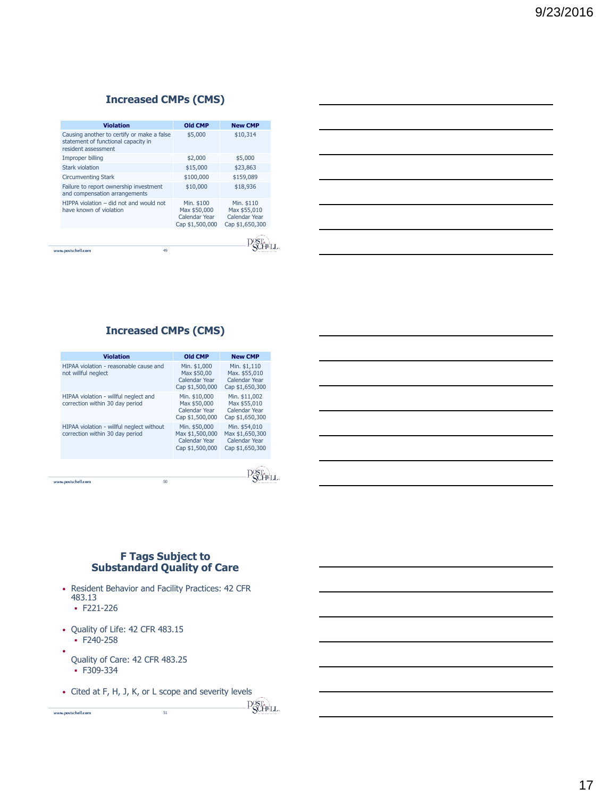# **Increased CMPs (CMS)**

| <b>Violation</b>                                                                                         | Old CMP                                                        | <b>New CMP</b>                                                 |
|----------------------------------------------------------------------------------------------------------|----------------------------------------------------------------|----------------------------------------------------------------|
| Causing another to certify or make a false<br>statement of functional capacity in<br>resident assessment | \$5,000                                                        | \$10,314                                                       |
| Improper billing                                                                                         | \$2,000                                                        | \$5,000                                                        |
| Stark violation                                                                                          | \$15,000                                                       | \$23,863                                                       |
| <b>Circumventing Stark</b>                                                                               | \$100,000                                                      | \$159,089                                                      |
| Failure to report ownership investment<br>and compensation arrangements                                  | \$10,000                                                       | \$18,936                                                       |
| HIPPA violation – did not and would not<br>have known of violation                                       | Min. \$100<br>Max \$50,000<br>Calendar Year<br>Cap \$1,500,000 | Min. \$110<br>Max \$55,010<br>Calendar Year<br>Cap \$1,650,300 |
|                                                                                                          |                                                                |                                                                |
| 49<br>www.postschell.com                                                                                 |                                                                |                                                                |

| <u> 1989 - Johann Barn, amerikan bernama di sebagai bernama dan bernama di sebagai bernama dalam bernama dalam b</u>   |  |  |
|------------------------------------------------------------------------------------------------------------------------|--|--|
|                                                                                                                        |  |  |
| <u> 1989 - Johann Barn, mars ann an t-Amhain ann an t-Amhain ann an t-Amhain ann an t-Amhain an t-Amhain ann an t-</u> |  |  |
| <u> 1989 - Johann Stoff, amerikansk politiker (d. 1989)</u>                                                            |  |  |
| <u> 1989 - Johann Stoff, amerikansk politiker (d. 1989)</u>                                                            |  |  |
|                                                                                                                        |  |  |

# **Increased CMPs (CMS)**

| <b>Violation</b>                                                             | Old CMP                                                              | <b>New CMP</b>                                                       |  |
|------------------------------------------------------------------------------|----------------------------------------------------------------------|----------------------------------------------------------------------|--|
| HIPAA violation - reasonable cause and<br>not willful nealect                | Min. \$1,000<br>Max \$50,00<br>Calendar Year<br>Cap \$1,500,000      | Min. \$1,110<br>Max. \$55,010<br>Calendar Year<br>Cap \$1,650,300    |  |
| HIPAA violation - willful neglect and<br>correction within 30 day period     | Min. \$10,000<br>Max \$50,000<br>Calendar Year<br>Cap \$1,500,000    | Min. \$11,002<br>Max \$55,010<br>Calendar Year<br>Cap \$1,650,300    |  |
| HIPAA violation - willful neglect without<br>correction within 30 day period | Min. \$50,000<br>Max \$1,500,000<br>Calendar Year<br>Cap \$1,500,000 | Min. \$54,010<br>Max \$1,650,300<br>Calendar Year<br>Cap \$1,650,300 |  |
| 50<br>www.postschell.com                                                     |                                                                      |                                                                      |  |
|                                                                              |                                                                      |                                                                      |  |

# **F Tags Subject to Substandard Quality of Care**

- Resident Behavior and Facility Practices: 42 CFR 483.13
	- $\cdot$  F221-226
- Quality of Life: 42 CFR 483.15  $E = 240 - 258$ 
	-
- Quality of Care: 42 CFR 483.25
	- F309-334
- Cited at F, H, J, K, or L scope and severity levels

51

Post.

 $\label{thm:univ} {\bf www.postschell.com}$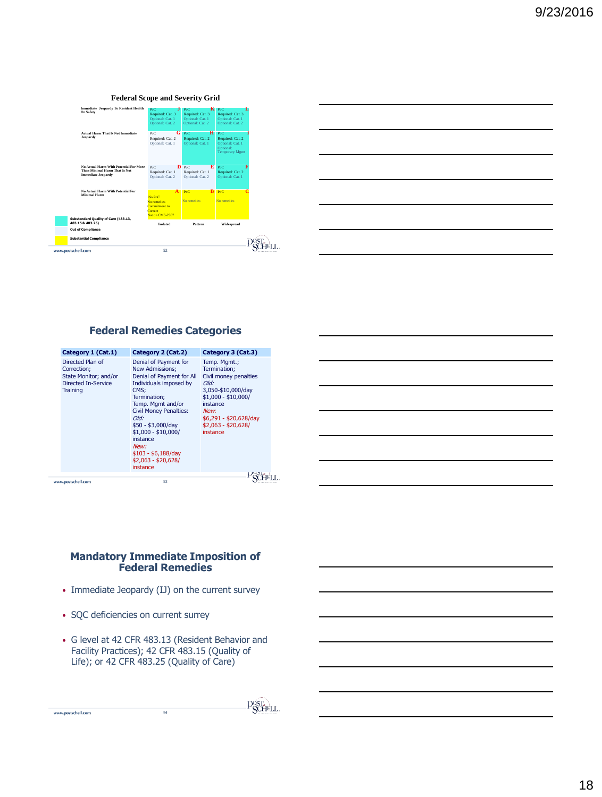#### **Federal Scope and Severity Grid**



| <u> 1989 - Johann Stoff, amerikansk politiker (d. 1989)</u>                                                          |  |                      |
|----------------------------------------------------------------------------------------------------------------------|--|----------------------|
|                                                                                                                      |  |                      |
| <u> 1989 - Johann Barn, amerikansk politiker (d. 1989)</u>                                                           |  | <b>Service State</b> |
| <u> 1980 - Johann Barn, amerikan besteman besteman besteman besteman besteman besteman besteman besteman bestema</u> |  |                      |
| <u> 1980 - Johann Barbara, martxa alemaniar amerikan a</u>                                                           |  |                      |
|                                                                                                                      |  |                      |

# **Federal Remedies Categories**

| Category 1 (Cat.1)                                                                          | Category 2 (Cat.2)                                                                                                                                                                                                                                                                                               | Category 3 (Cat.3)                                                                                                                                                                          |
|---------------------------------------------------------------------------------------------|------------------------------------------------------------------------------------------------------------------------------------------------------------------------------------------------------------------------------------------------------------------------------------------------------------------|---------------------------------------------------------------------------------------------------------------------------------------------------------------------------------------------|
| Directed Plan of<br>Correction;<br>State Monitor; and/or<br>Directed In-Service<br>Training | Denial of Payment for<br>New Admissions;<br>Denial of Payment for All<br>Individuals imposed by<br>CMS;<br>Termination:<br>Temp. Mgmt and/or<br><b>Civil Money Penalties:</b><br>Old:<br>$$50 - $3,000/day$<br>$$1,000 - $10,000/$<br>instance<br>New:<br>$$103 - $6,188$ /day<br>$$2,063 - $20,628$<br>instance | Temp. Mgmt.;<br>Termination:<br>Civil money penalties<br>Old:<br>3,050-\$10,000/day<br>$$1,000 - $10,000/$<br>instance<br>New:<br>$$6,291 - $20,628$ /day<br>$$2,063 - $20,628$<br>instance |
| www.postschell.com                                                                          | 53                                                                                                                                                                                                                                                                                                               |                                                                                                                                                                                             |

#### **Mandatory Immediate Imposition of Federal Remedies**

- Immediate Jeopardy (IJ) on the current survey
- SQC deficiencies on current surrey

www.postschell.com

• G level at 42 CFR 483.13 (Resident Behavior and Facility Practices); 42 CFR 483.15 (Quality of Life); or 42 CFR 483.25 (Quality of Care)

```
Post.
```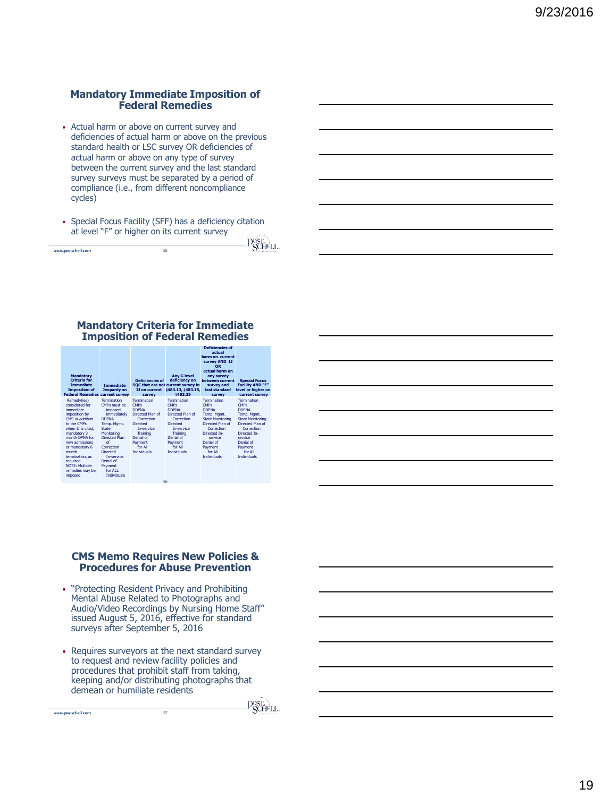# **Mandatory Immediate Imposition of Federal Remedies**

- Actual harm or above on current survey and deficiencies of actual harm or above on the previous standard health or LSC survey OR deficiencies of actual harm or above on any type of survey between the current survey and the last standard survey surveys must be separated by a period of compliance (i.e., from different noncompliance cycles)
- Special Focus Facility (SFF) has a deficiency citation at level "F" or higher on its current survey - 75

|                    |          | .<br>$\sim$ $\sim$ $\sim$ $\sim$ $\sim$ $\sim$ $\sim$ |
|--------------------|----------|-------------------------------------------------------|
| www.postschell.com | --<br>55 |                                                       |
|                    |          |                                                       |

#### **Mandatory Criteria for Immediate Imposition of Federal Remedies**

| <b>Mandatory</b><br><b>Criteria</b> for<br><b>Immediate</b><br><b>Imposition of</b><br><b>Federal Remedies current survey</b>                                                                                                                                                           | <b>Immediate</b><br>Jeopardy on                                                                                                                                                                                                            | <b>Deficiencies of</b><br>IJ on current<br>survey                                                                                                                                  | <b>Any G level</b><br>deficiency on<br>SOC that are not current survey in<br>§483.13, §483.15,<br>8483.25                                                                   | Deficiencies of<br>actual<br>harm on current<br>survey AND IJ<br><b>OR</b><br>actual harm on<br>any survey<br>between current<br>survey and<br>last standard<br>survey                                     | <b>Special Focus</b><br><b>Facility AND "F"</b><br>level or higher on<br>current survey                                                                                                                    |
|-----------------------------------------------------------------------------------------------------------------------------------------------------------------------------------------------------------------------------------------------------------------------------------------|--------------------------------------------------------------------------------------------------------------------------------------------------------------------------------------------------------------------------------------------|------------------------------------------------------------------------------------------------------------------------------------------------------------------------------------|-----------------------------------------------------------------------------------------------------------------------------------------------------------------------------|------------------------------------------------------------------------------------------------------------------------------------------------------------------------------------------------------------|------------------------------------------------------------------------------------------------------------------------------------------------------------------------------------------------------------|
| Remedy(ies)<br>considered for<br>immediate<br>imposition by<br>CMS in addition<br>to the CMPs<br>when IJ is cited.<br>mandatory 3<br>month DPNA for<br>new admissions<br>or mandatory 6<br>month<br>termination, as<br>required.<br><b>NOTE: Multiple</b><br>remedies may be<br>imposed | Termination<br>CMPs must be<br>imposed<br>immediately<br><b>DDPNA</b><br>Temp, Mamt.<br>State<br>Monitoring<br>Directed Plan<br>of<br>Correction<br>Directed<br><b>In-service</b><br>Denial of<br>Payment<br>for ALL<br><b>Individuals</b> | Termination<br><b>CMPs</b><br><b>DDPNA</b><br>Directed Plan of<br>Correction<br><b>Directed</b><br>In-service<br>Training<br>Denial of<br>Payment<br>for All<br><b>Individuals</b> | Termination<br><b>CMPs</b><br><b>DDPNA</b><br>Directed Plan of<br>Correction<br>Directed<br>In-service<br>Training<br>Denial of<br>Payment<br>for All<br><b>Individuals</b> | Termination<br><b>CMPs</b><br><b>DDPNA</b><br>Temp, Mamt.<br><b>State Monitoring</b><br>Directed Plan of<br>Correction<br>Directed In-<br>service<br>Denial of<br>Payment<br>for All<br><b>Individuals</b> | Termination<br><b>CMPs</b><br><b>DDPNA</b><br>Temp, Mamt.<br><b>State Monitoring</b><br>Directed Plan of<br>Correction<br>Directed In-<br>service<br>Denial of<br>Payment<br>for All<br><b>Individuals</b> |

#### **CMS Memo Requires New Policies & Procedures for Abuse Prevention**

- "Protecting Resident Privacy and Prohibiting Mental Abuse Related to Photographs and Audio/Video Recordings by Nursing Home Staff" issued August 5, 2016, effective for standard surveys after September 5, 2016
- Requires surveyors at the next standard survey to request and review facility policies and procedures that prohibit staff from taking, keeping and/or distributing photographs that demean or humiliate residents

57

www.postschell.com

**POST.**<br>**POCHELL** 

19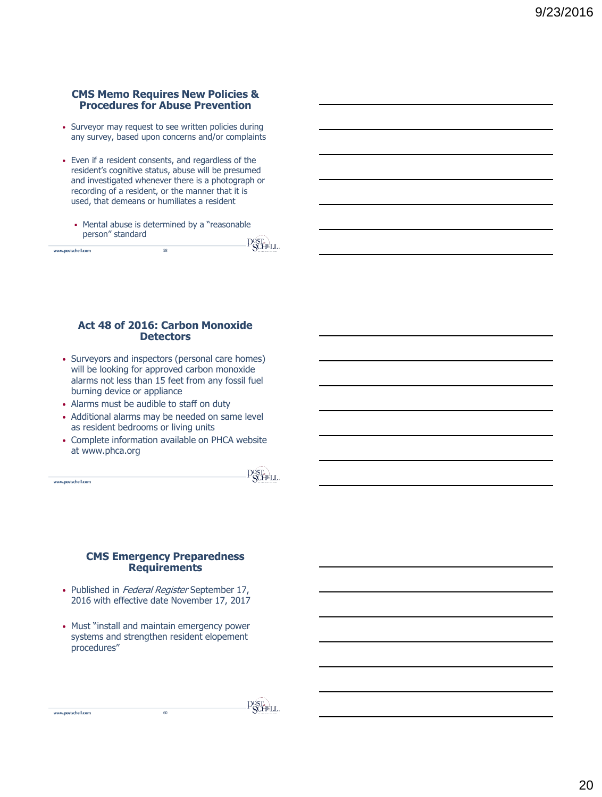## **CMS Memo Requires New Policies & Procedures for Abuse Prevention**

- Surveyor may request to see written policies during any survey, based upon concerns and/or complaints
- Even if a resident consents, and regardless of the resident's cognitive status, abuse will be presumed and investigated whenever there is a photograph or recording of a resident, or the manner that it is used, that demeans or humiliates a resident
	- Mental abuse is determined by a "reasonable" person" standard  $\widehat{C}$

| www.postscholl.com | 58 | <b>CALL AND</b><br>÷.<br>◡<br>ACTEMBER 1871 MW |
|--------------------|----|------------------------------------------------|
|                    |    |                                                |

#### **Act 48 of 2016: Carbon Monoxide Detectors**

- Surveyors and inspectors (personal care homes) will be looking for approved carbon monoxide alarms not less than 15 feet from any fossil fuel burning device or appliance
- Alarms must be audible to staff on duty
- Additional alarms may be needed on same level as resident bedrooms or living units
- Complete information available on PHCA website at www.phca.org

www.postschell.com

www.postschell.com

 $\overline{\mathrm{P}}_{\mathrm{SCHEL}}^{\mathrm{OST.}}$ 

#### **CMS Emergency Preparedness Requirements**

- Published in Federal Register September 17, 2016 with effective date November 17, 2017
- Must "install and maintain emergency power systems and strengthen resident elopement procedures"

**POST.**<br>**POCHELL**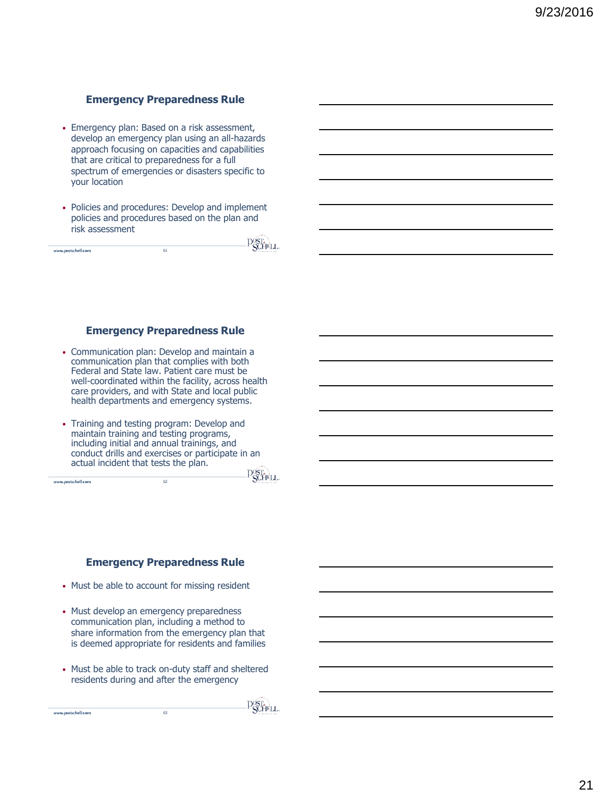# **Emergency Preparedness Rule**

- Emergency plan: Based on a risk assessment, develop an emergency plan using an all-hazards approach focusing on capacities and capabilities that are critical to preparedness for a full spectrum of emergencies or disasters specific to your location
- Policies and procedures: Develop and implement policies and procedures based on the plan and risk assessment  $\sqrt{2}$

| www.postschell.com | 61 | <b>ACCOMMENDATION</b><br>Ÿ |
|--------------------|----|----------------------------|
|                    |    |                            |
|                    |    |                            |

## **Emergency Preparedness Rule**

- Communication plan: Develop and maintain a communication plan that complies with both Federal and State law. Patient care must be well-coordinated within the facility, across health care providers, and with State and local public health departments and emergency systems.
- Training and testing program: Develop and maintain training and testing programs, including initial and annual trainings, and conduct drills and exercises or participate in an actual incident that tests the plan.

62

www.postschell.com

www.postschell.com

**P**ST<sub>A</sub>LL

#### **Emergency Preparedness Rule**

- Must be able to account for missing resident
- Must develop an emergency preparedness communication plan, including a method to share information from the emergency plan that is deemed appropriate for residents and families
- Must be able to track on-duty staff and sheltered residents during and after the emergency

63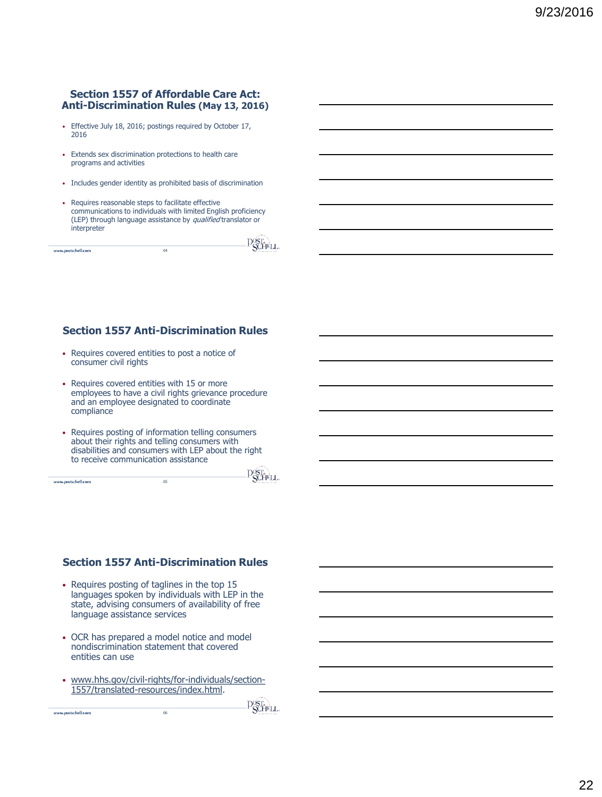# **Section 1557 of Affordable Care Act: Anti-Discrimination Rules (May 13, 2016)**

- Effective July 18, 2016; postings required by October 17, 2016
- Extends sex discrimination protections to health care programs and activities
- Includes gender identity as prohibited basis of discrimination
- Requires reasonable steps to facilitate effective communications to individuals with limited English proficiency (LEP) through language assistance by qualified translator or interpreter

|                    |    | .<br>ீயாட<br>×.          |
|--------------------|----|--------------------------|
| www.postschell.com | 64 | -1.4<br>ACTIVITY OF LINE |
|                    |    |                          |

# **Section 1557 Anti-Discrimination Rules**

- Requires covered entities to post a notice of consumer civil rights
- Requires covered entities with 15 or more employees to have a civil rights grievance procedure and an employee designated to coordinate compliance
- Requires posting of information telling consumers about their rights and telling consumers with disabilities and consumers with LEP about the right to receive communication assistance

65

www.postschell.com

www.postschell.com

**P**ST<sub>A</sub>LL

 $-\sqrt{2}$ 

# **Section 1557 Anti-Discrimination Rules**

- Requires posting of taglines in the top 15 languages spoken by individuals with LEP in the state, advising consumers of availability of free language assistance services
- OCR has prepared a model notice and model nondiscrimination statement that covered entities can use
- www.hhs.gov/civil-rights/for-individuals/section-1557/translated-resources/index.html.

66